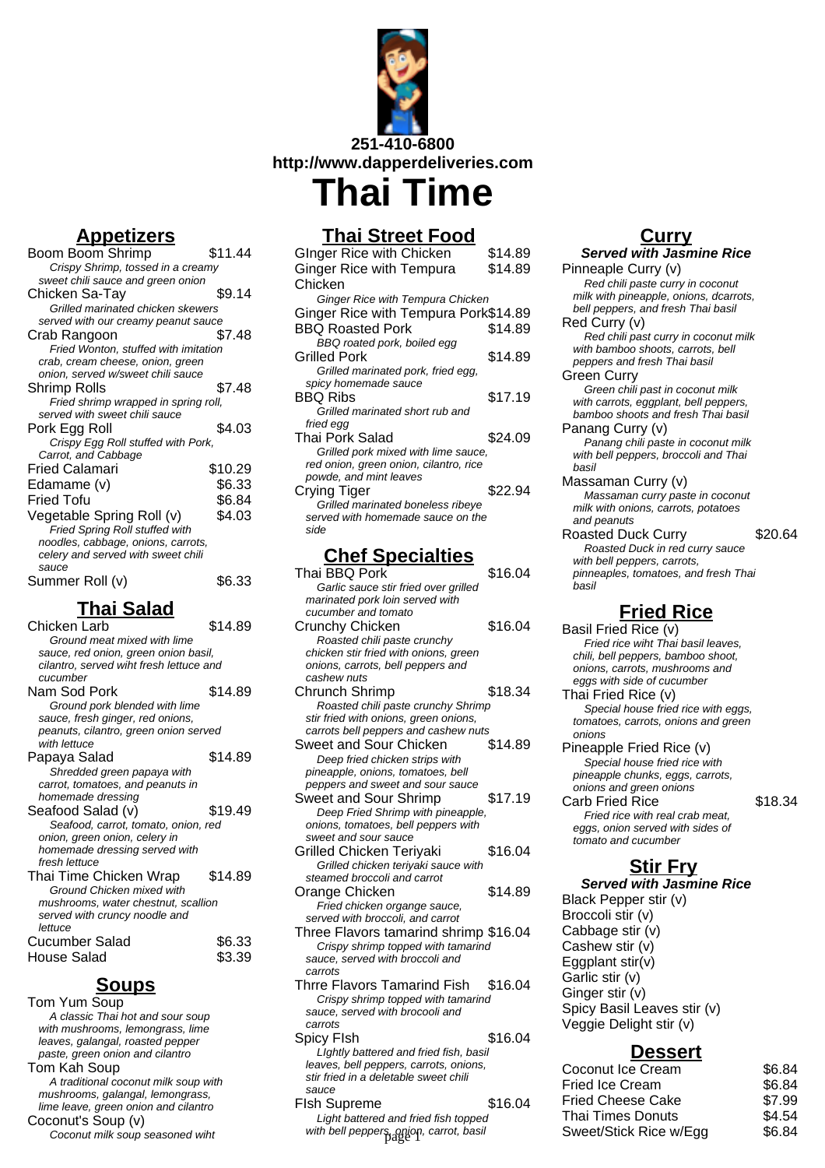

## **Appetizers**

| Boom Boom Shrimp                     | \$11.44 |
|--------------------------------------|---------|
| Crispy Shrimp, tossed in a creamy    |         |
| sweet chili sauce and green onion    |         |
| Chicken Sa-Tay                       | \$9.14  |
| Grilled marinated chicken skewers    |         |
| served with our creamy peanut sauce  |         |
| Crab Rangoon                         | \$7.48  |
| Fried Wonton, stuffed with imitation |         |
| crab, cream cheese, onion, green     |         |
| onion, served w/sweet chili sauce    |         |
| Shrimp Rolls                         | \$7.48  |
| Fried shrimp wrapped in spring roll, |         |
| served with sweet chili sauce        |         |
| Pork Egg Roll                        | \$4.03  |
| Crispy Egg Roll stuffed with Pork,   |         |
| Carrot, and Cabbage                  |         |
| Fried Calamari                       | \$10.29 |
| Edamame (v)                          | \$6.33  |
| Fried Tofu                           | \$6.84  |
| Vegetable Spring Roll (v)            | \$4.03  |
| Fried Spring Roll stuffed with       |         |
| noodles, cabbage, onions, carrots,   |         |
| celery and served with sweet chili   |         |
| sauce                                |         |
| Summer Roll (v)                      | \$6.33  |

#### **Thai Salad**

| Chicken Larb                            | \$14.89 |
|-----------------------------------------|---------|
| Ground meat mixed with lime             |         |
| sauce, red onion, green onion basil,    |         |
| cilantro, served wiht fresh lettuce and |         |
| cucumber                                |         |
| Nam Sod Pork                            | \$14.89 |
| Ground pork blended with lime           |         |
| sauce, fresh ginger, red onions,        |         |
| peanuts, cilantro, green onion served   |         |
| with lettuce                            |         |
| Papaya Salad                            | \$14.89 |
| Shredded green papaya with              |         |
| carrot, tomatoes, and peanuts in        |         |
| homemade dressing                       |         |
| Seafood Salad (v)                       | \$19.49 |
| Seafood, carrot, tomato, onion, red     |         |
| onion, green onion, celery in           |         |
| homemade dressing served with           |         |
| fresh lettuce                           |         |
| Thai Time Chicken Wrap                  | \$14.89 |
| Ground Chicken mixed with               |         |
| mushrooms, water chestnut, scallion     |         |
| served with cruncy noodle and           |         |
| lettuce                                 |         |
| <b>Cucumber Salad</b>                   | \$6.33  |
| <b>House Salad</b>                      | \$3.39  |

#### **Soups**

Tom Yum Soup A classic Thai hot and sour soup with mushrooms, lemongrass, lime leaves, galangal, roasted pepper paste, green onion and cilantro Tom Kah Soup A traditional coconut milk soup with mushrooms, galangal, lemongrass, lime leave, green onion and cilantro Coconut's Soup (v) Coconut milk soup seasoned wiht

## **Thai Street Food**

| <b>GInger Rice with Chicken</b>              | \$14.89 |
|----------------------------------------------|---------|
| <b>Ginger Rice with Tempura</b>              | \$14.89 |
| Chicken                                      |         |
| <b>Ginger Rice with Tempura Chicken</b>      |         |
| Ginger Rice with Tempura Pork\$14.89         |         |
| <b>BBQ Roasted Pork</b>                      | \$14.89 |
| BBQ roated pork, boiled egg                  |         |
| Grilled Pork                                 | \$14.89 |
| Grilled marinated pork, fried egg,           |         |
| spicy homemade sauce                         |         |
| BBQ Ribs                                     | \$17.19 |
| Grilled marinated short rub and<br>fried egg |         |
| Thai Pork Salad                              | \$24.09 |
| Grilled pork mixed with lime sauce,          |         |
| red onion, green onion, cilantro, rice       |         |
| powde, and mint leaves                       |         |
| Crying Tiger                                 | \$22.94 |
| Grilled marinated boneless ribeye            |         |
| served with homemade sauce on the            |         |
| side                                         |         |
| <b>Chef Specialties</b>                      |         |
|                                              |         |

## **Chef Specialties**

| Thai BBQ Pork                                                                                                            | \$16.04 |
|--------------------------------------------------------------------------------------------------------------------------|---------|
| Garlic sauce stir fried over grilled                                                                                     |         |
| marinated pork loin served with                                                                                          |         |
| cucumber and tomato                                                                                                      |         |
| Crunchy Chicken                                                                                                          | \$16.04 |
| Roasted chili paste crunchy                                                                                              |         |
| chicken stir fried with onions, green                                                                                    |         |
| onions, carrots, bell peppers and                                                                                        |         |
| cashew nuts                                                                                                              |         |
| Chrunch Shrimp                                                                                                           | \$18.34 |
| Roasted chili paste crunchy Shrimp                                                                                       |         |
| stir fried with onions, green onions,                                                                                    |         |
| carrots bell peppers and cashew nuts                                                                                     |         |
| Sweet and Sour Chicken                                                                                                   | \$14.89 |
| Deep fried chicken strips with                                                                                           |         |
| pineapple, onions, tomatoes, bell                                                                                        |         |
| peppers and sweet and sour sauce                                                                                         |         |
| <b>Sweet and Sour Shrimp</b>                                                                                             | \$17.19 |
| Deep Fried Shrimp with pineapple,                                                                                        |         |
| onions, tomatoes, bell peppers with                                                                                      |         |
| sweet and sour sauce                                                                                                     |         |
| Grilled Chicken Teriyaki                                                                                                 | \$16.04 |
| Grilled chicken teriyaki sauce with                                                                                      |         |
| steamed broccoli and carrot                                                                                              |         |
| Orange Chicken                                                                                                           | \$14.89 |
| Fried chicken organge sauce,                                                                                             |         |
| served with broccoli, and carrot                                                                                         |         |
| Three Flavors tamarind shrimp \$16.04                                                                                    |         |
| Crispy shrimp topped with tamarind                                                                                       |         |
| sauce, served with broccoli and                                                                                          |         |
| carrots                                                                                                                  |         |
| Thrre Flavors Tamarind Fish                                                                                              | \$16.04 |
| Crispy shrimp topped with tamarind                                                                                       |         |
| sauce, served with brocooli and                                                                                          |         |
| carrots                                                                                                                  |         |
| Spicy FIsh                                                                                                               | \$16.04 |
| and the contract of the bank of the set<br>$\mathbf{1}$ $\mathbf{1}$ $\mathbf{1}$ $\mathbf{1}$ $\mathbf{1}$ $\mathbf{1}$ |         |

LIghtly battered and fried fish, basil leaves, bell peppers, carrots, onions, stir fried in a deletable sweet chili sauce FIsh Supreme \$16.04

# Light battered and fried fish topped

#### **Curry**

**Served with Jasmine Rice** Pinneaple Curry (v)

Red chili paste curry in coconut milk with pineapple, onions, dcarrots, bell peppers, and fresh Thai basil Red Curry (v)

Red chili past curry in coconut milk with bamboo shoots, carrots, bell peppers and fresh Thai basil Green Curry

Green chili past in coconut milk with carrots, eggplant, bell peppers, bamboo shoots and fresh Thai basil

Panang Curry (v) Panang chili paste in coconut milk with bell peppers, broccoli and Thai basil

Massaman Curry (v) Massaman curry paste in coconut milk with onions, carrots, potatoes and peanuts

Roasted Duck Curry \$20.64 Roasted Duck in red curry sauce with bell peppers, carrots, pinneaples, tomatoes, and fresh Thai basil

## **Fried Rice**

Basil Fried Rice (v) Fried rice wiht Thai basil leaves, chili, bell peppers, bamboo shoot, onions, carrots, mushrooms and eggs with side of cucumber Thai Fried Rice (v) Special house fried rice with eggs, tomatoes, carrots, onions and green onions Pineapple Fried Rice (v) Special house fried rice with pineapple chunks, eggs, carrots, onions and green onions Carb Fried Rice \$18.34 Fried rice with real crab meat, eggs, onion served with sides of tomato and cucumber **Stir Fry**

**Served with Jasmine Rice** Black Pepper stir (v) Broccoli stir (v) Cabbage stir (v) Cashew stir (v) Eggplant  $\text{stir}(v)$ Garlic stir (v) Ginger stir (v) Spicy Basil Leaves stir (v) Veggie Delight stir (v)

#### **Dessert**

| leaves, bell peppers, carrots, onions,  |         | Coconut Ice Cream        | \$6.84 |
|-----------------------------------------|---------|--------------------------|--------|
| stir fried in a deletable sweet chili   |         | <b>Fried Ice Cream</b>   | \$6.84 |
| sauce                                   |         |                          |        |
| sh Supreme                              | \$16.04 | <b>Fried Cheese Cake</b> | \$7.99 |
| Light battered and fried fish topped    |         | Thai Times Donuts        | \$4.54 |
| with bell peppers, onjon, carrot, basil |         | Sweet/Stick Rice w/Egg   | \$6.84 |
|                                         |         |                          |        |